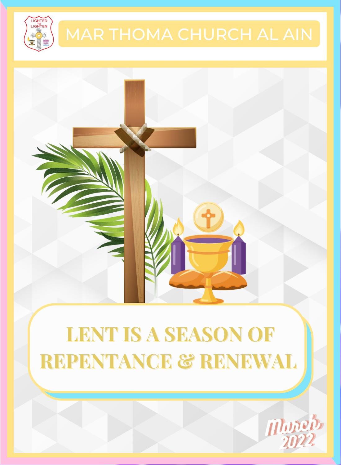



# **LENT IS A SEASON OF REPENTANCE & RENEWAL**

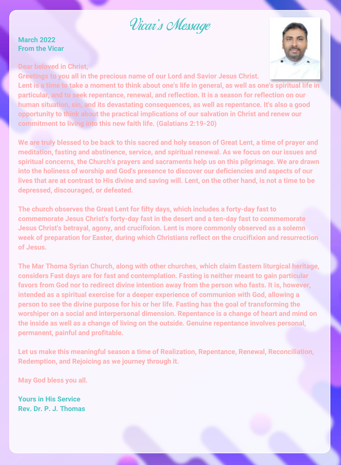### Vicar's Message

#### **March 2022 From the Vicar**





**Greetings to you all in the precious name of our Lord and Savior Jesus Christ. Lent is a time to take a moment to think about one's life in general, as well as one's spiritual life in particular, and to seek repentance, renewal, and reflection. It is a season for reflection on our human situation, sin, and its devastating consequences, as well as repentance. It's also a good opportunity to think about the practical implications of our salvation in Christ and renew our commitment to living into this new faith life. (Galatians 2:19-20)**

**We are truly blessed to be back to this sacred and holy season of Great Lent, a time of prayer and meditation, fasting and abstinence, service, and spiritual renewal. As we focus on our issues and spiritual concerns, the Church's prayers and sacraments help us on this pilgrimage. We are drawn into the holiness of worship and God's presence to discover our deficiencies and aspects of our lives that are at contrast to His divine and saving will. Lent, on the other hand, is not a time to be depressed, discouraged, or defeated.**

**The church observes the Great Lent for fifty days, which includes a forty-day fast to commemorate Jesus Christ's forty-day fast in the desert and a ten-day fast to commemorate Jesus Christ's betrayal, agony, and crucifixion. Lent is more commonly observed as a solemn week of preparation for Easter, during which Christians reflect on the crucifixion and resurrection of Jesus.**

**The Mar Thoma Syrian Church, along with other churches, which claim Eastern liturgical heritage, considers Fast days are for fast and contemplation. Fasting is neither meant to gain particular favors from God nor to redirect divine intention away from the person who fasts. It is, however, intended as a spiritual exercise for a deeper experience of communion with God, allowing a person to see the divine purpose for his or her life. Fasting has the goal of transforming the worshiper on a social and interpersonal dimension. Repentance is a change of heart and mind on the inside as well as a change of living on the outside. Genuine repentance involves personal, permanent, painful and profitable.** 

**Let us make this meaningful season a time of Realization, Repentance, Renewal, Reconciliation, Redemption, and Rejoicing as we journey through it.**

**May God bless you all.**

**Yours in His Service Rev. Dr. P. J. Thomas**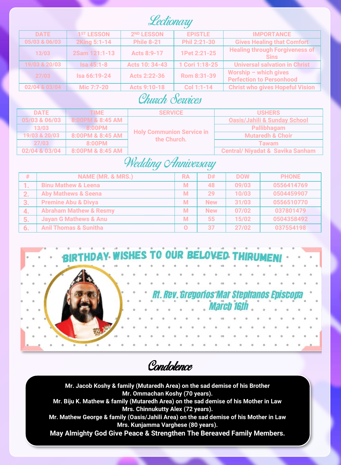Lectionary

| <b>DATE</b>   | 1 <sup>ST</sup> LESSON | 2 <sup>ND</sup> LESSON | <b>EPISTLE</b> | <b>IMPORTANCE</b>                                          |
|---------------|------------------------|------------------------|----------------|------------------------------------------------------------|
| 05/03 & 06/03 | 2King 5:1-14           | <b>Phile 8-21</b>      | Phil 2:21-30   | <b>Gives Healing that Comfort</b>                          |
| 13/03         | 2Sam 121:1-13          | Acts 8:9-17            | 1Pet 2:21-25   | <b>Healing through Forgiveness of</b><br><b>Sins</b>       |
| 19/03 & 20/03 | $Isa 45:1-8$           | Acts 10: 34-43         | 1 Cori 1:18-25 | <b>Universal salvation in Christ</b>                       |
| 27/03         | Isa 66:19-24           | Acts 2:22-36           | Rom 8:31-39    | Worship $-$ which gives<br><b>Perfection to Personhood</b> |
| 02/04 & 03/04 | Mic 7:7-20             | Acts 9:10-18           | Col 1:1-14     | <b>Christ who gives Hopeful Vision</b>                     |

#### Church Services

| <b>DATE</b>   | <b>TIME</b>      | <b>SERVICE</b>                                  | <b>USHERS</b>                           |
|---------------|------------------|-------------------------------------------------|-----------------------------------------|
| 05/03 & 06/03 | 8:00PM & 8:45 AM |                                                 | <b>Oasis/Jahili &amp; Sunday School</b> |
| 13/03         | 8:00PM           | <b>Holy Communion Service in</b><br>the Church. | Pallibhagam                             |
| 19/03 & 20/03 | 8:00PM & 8:45 AM |                                                 | <b>Mutaredh &amp; Choir</b>             |
| 27/03         | 8:00PM           |                                                 | Tawam                                   |
| 02/04 & 03/04 | 8:00PM & 8:45 AM |                                                 | Central/ Nivadat & Savika Sanham        |

#### Wedding *Anniversary*

| #        | NAME (MR. & MRS.)                 | <b>RA</b> | D#         | <b>DOW</b> | <b>PHONE</b> |
|----------|-----------------------------------|-----------|------------|------------|--------------|
| . .      | <b>Binu Mathew &amp; Leena</b>    | M         | 48         | 09/03      | 0556414769   |
| <u>.</u> | <b>Aby Mathews &amp; Seena</b>    | M         | 29         | 10/03      | 0504459907   |
| 3.       | <b>Premine Abu &amp; Divya</b>    | М         | <b>New</b> | 31/03      | 0556510770   |
| -4.      | <b>Abraham Mathew &amp; Resmy</b> | M         | <b>New</b> | 07/02      | 037801479    |
| 5.       | <b>Javan G Mathews &amp; Anu</b>  | M         | 55         | 15/02      | 0504358492   |
| 6.       | <b>Anil Thomas &amp; Sunitha</b>  | O         | 37         | 27/02      | 037554198    |



Condolence

**Mr. Jacob Koshy & family (Mutaredh Area) on the sad demise of his Brother Mr. Ommachan Koshy (70 years).**

**Mr. Biju K. Mathew & family (Mutaredh Area) on the sad demise of his Mother in Law Mrs. Chinnukutty Alex (72 years).**

**Mr. Mathew George & family (Oasis/Jahili Area) on the sad demise of his Mother in Law Mrs. Kunjamma Varghese (80 years).**

**May Almighty God Give Peace & Strengthen The Bereaved Family Members.**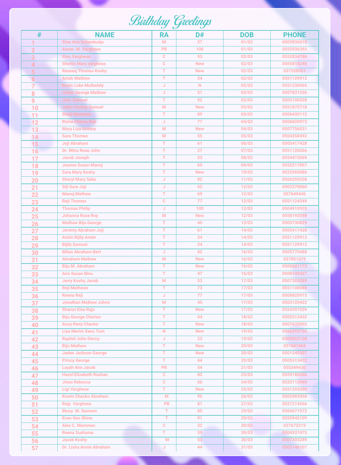## **Birthday Greetings**

| #              | <b>NAME</b>                             | RA          | D#               | <b>DOB</b>     | <b>PHONE</b>            |
|----------------|-----------------------------------------|-------------|------------------|----------------|-------------------------|
| 1              | Sinu Anu Achenkunju                     | M           | 37               | 01/03          | 0505836010              |
| $\overline{2}$ | Aaron M. Varghese                       | PB          | 106              | 01/03          | 0555936393              |
| 3              | <b>Sinu Varghese</b>                    | $\mathbf C$ | 93               | 02/03          | 0552834786              |
| $\overline{A}$ | <b>Sherlin Mary varghese</b>            | c           | <b>New</b>       | 02/03          | 0565818240              |
| 片              | <b>Reuneg Thomas Koshy</b>              | Т           | <b>New</b>       | 02/03          | 037358561               |
| 6              | <b>Anish Mathew</b>                     | T           | 34               | 02/03          | 0551129912              |
| $\overline{7}$ | <b>Kevin Luke Muthalaly</b>             | J           | N                | 02/03          | 0551236965              |
| 8              | <b>Johan George Mathew</b>              | J           | 51               | 03/03          | 0507831336              |
| 9              | Jinu Samuel                             | т           | 92               | 03/03          | 0503100528              |
| 10             | <b>Jobin Varkey Samuel</b>              | M           | <b>New</b>       | 03/03          | 0551875718              |
| 11             | <b>Shaji Mammen</b>                     | т           | 89               | 03/03          | 0506430112              |
| 12             | Richa Chinnu Reji                       | IJ          | 77               | 04/03          | 0506820973              |
| 13             | <b>Mary Liza Antony</b>                 | M           | <b>New</b>       | 04/03          | 0507756531              |
| 14             | <b>Sara Thomas</b>                      | M           | 55               | 05/03          | 0504358492              |
| 15             | Joji Abraham                            | т           | 61               | 06/03          | 0505417428              |
| 16             | Dr. Minu Rose John                      | Т           | 27               | 07/03          | 0551126266              |
| 17             | Jacob Joseph                            | т           | 53               | 08/03          | 0554415069              |
| 18             | Joanna Susan Manoj                      | т           | 69               | 09/03          | 0552217857              |
| 19             | <b>Sara Mary Koshy</b>                  | т           | <b>New</b>       | 10/03          | 0522960086              |
| 20             | <b>Sheryl Mary Sabu</b>                 | J           | 82               | 11/03          | 0506259258              |
| 21             | Siji Sara Joji                          | $\mathsf J$ | 62               | 12/03          | 0503378060              |
| 22             | <b>Manoj Mathew</b>                     | т           | 69               | 12/03          | 057649446               |
| 23             | <b>Reji Thomas</b>                      | $\mathbf c$ | 77               | 12/03          | 0501124349              |
| 24             | <b>Thomas Philip</b>                    | J           | 100              | 12/03          | 0504910925              |
| 25             | <b>Johanna Rose Roy</b>                 | M           | <b>New</b>       | 12/03          | 0558193598              |
| 26             | <b>Mathew Biju George</b>               | T           | 45               | 13/03          | 0505730829              |
| 27             | Jeremy Abraham Joji                     | T           | 61               | 14/03          | 0505417428              |
| 28             | <b>Aislin Bijily Anish</b>              | т           | 34               | 14/03          | 0551129912              |
| 29             | <b>Biilly Samuel</b>                    | т           | 34               | 14/03          | 0551129912              |
| 30             | <b>Milan Abraham Bert</b>               | J           | 42               | 16/03          | 0505770488              |
| 31             | <b>Abraham Mathew</b>                   | M           | <b>New</b>       | 16/03          | 037801479               |
| 32             | Biju M. Abraham                         | т           | <b>New</b>       | 16/03          | 0505601173              |
| 33             | <b>Ann Susan Binu</b>                   | Т           | 47               | 16/03          | 0508149427              |
| 34             | Jerry Koshy Jacob                       | M           | 53               | 17/03          | 0507303289              |
| 35             | <b>Reji Mathews</b>                     | т           | 73               | 17/03          | 0551108088              |
| 36             | <b>Reena Reji</b>                       | J           | 77               | 17/03          | 0506820973              |
| 37             | <b>Jonathan Mathew Johns</b>            | M           | 45               | 17/03          | 0503120422              |
| 38             | <b>Sharon Elsa Raju</b>                 | T           | <b>New</b>       | 17/03          | 0554397559              |
| 39             | <b>Biju George Cherian</b>              | Т           | 44               | 18/03          | 0505313432              |
| 40             | <b>Ancy Reny Chacko</b>                 | т           | <b>New</b>       | 18/03          | 0507632902              |
| 41             | <b>Liya Merim Sanu Tom</b>              | $\mathbb N$ | <b>New</b>       | 19/03          | 0566292735              |
| 42             | <b>Raphel John Denny</b>                | J<br>T      | 23<br><b>New</b> | 19/03          | 0505853138              |
| 43             | <b>Bijo Mathew</b>                      |             |                  | 20/03          | 037687465               |
| 44             | Jaden Jackson George                    | т           | <b>New</b>       | 20/03          | 0501245307              |
| 45             | <b>Princy George</b><br>Layah Ann Jacob | Т<br>PB     | 44<br>54         | 20/03<br>21/03 | 0505313432<br>055349430 |
| 46             | <b>Hazel Elizabeth Roshan</b>           | C           | 82               | 23/03          | 0559180260              |
| 47             | <b>Jinsu Rebecca</b>                    | $\mathbf c$ | 66               | 24/03          | 0525112965              |
| 48<br>49       | <b>Ligi Varghese</b>                    | т           | <b>New</b>       | 25/03          | 0551293259              |
|                | <b>Kewin Chacko Abraham</b>             | M           | 96               | 26/03          | 0505983958              |
| 50<br>51       | <b>Rojy Varghese</b>                    | PB          | 81               | 27/03          | 0527214566              |
| 52             | <b>Blucy M. Samson</b>                  | т           | 85               | 29/03          | 0504671572              |
|                | <b>Evan Geo Shine</b>                   | T           | 91               | 29/03          | 0555942109              |
| 53<br>54       | Alex C. Mammen                          | C           | 32               | 30/03          | 037672215               |
| 55             | <b>Reena Sushama</b>                    | т           | 39               | 30/03          | 0504337475              |
| 56             | <b>Jacob Koshy</b>                      | M           | 53               | 30/03          | 0507303289              |
| 57             | Dr. Lisha Annie Abraham                 | л           | 44               | 31/03          | 0503146107              |
|                |                                         |             |                  |                |                         |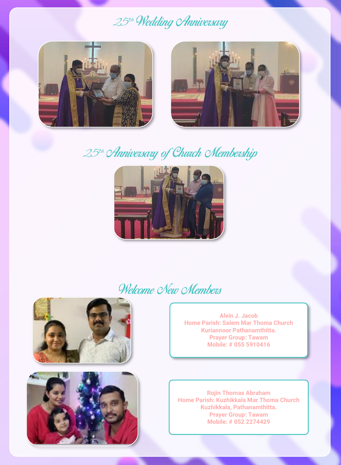### 25th Wedding *Anniversary*





### 25<sup>th</sup> Anniversary of Church Membership



### Welcome New Members





**Alvin J. Jacob Home Parish: Salem Mar Thoma Church Kuriannoor Pathanamthitta. Prayer Group: Tawam Mobile: # 055 5910416**

**Rojin Thomas Abraham Home Parish: Kuzhikkala Mar Thoma Church Kuzhikkala, Pathanamthitta. Prayer Group: Tawam Mobile: # 052 2274429**